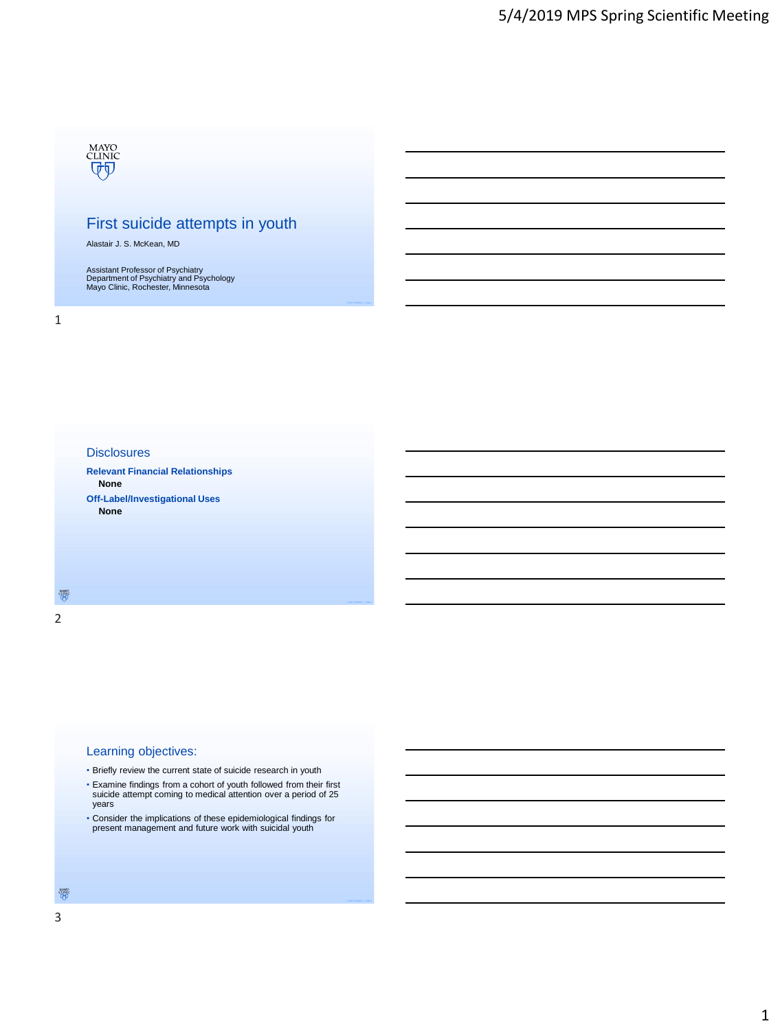# MAYO<br>CLINIC<br>UT

## First suicide attempts in youth

Alastair J. S. McKean, MD

Assistant Professor of Psychiatry Department of Psychiatry and Psychology Mayo Clinic, Rochester, Minnesota

#### **Disclosures**

**Relevant Financial Relationships None Off-Label/Investigational Uses None**

 $\frac{\partial \mathcal{U}_{\text{NNC}}^{\text{NN}}}{\partial \mathcal{U}}$ 2

#### Learning objectives:

• Briefly review the current state of suicide research in youth

- Examine findings from a cohort of youth followed from their first suicide attempt coming to medical attention over a period of 25 years
- Consider the implications of these epidemiological findings for present management and future work with suicidal youth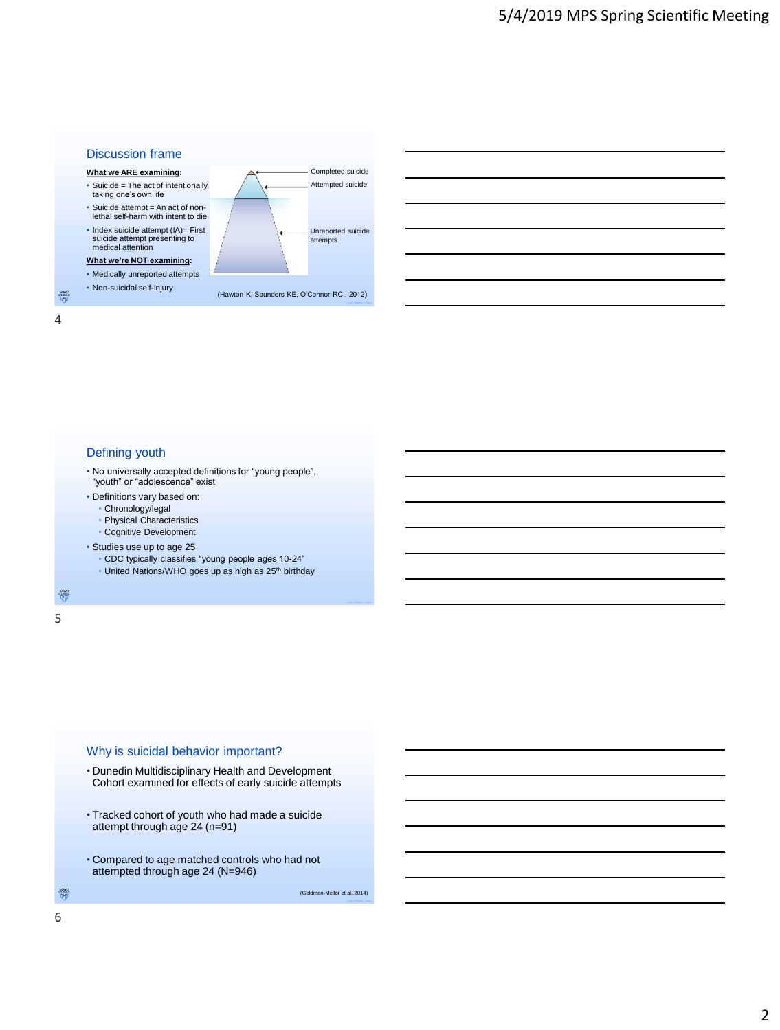



#### Defining youth

- No universally accepted definitions for "young people", "youth" or "adolescence" exist
- Definitions vary based on:
- Chronology/legal
- Physical Characteristics
- Cognitive Development
- Studies use up to age 25
	- CDC typically classifies "young people ages 10-24"
	- United Nations/WHO goes up as high as 25<sup>th</sup> birthday

微 5

#### Why is suicidal behavior important?

- Dunedin Multidisciplinary Health and Development Cohort examined for effects of early suicide attempts
- Tracked cohort of youth who had made a suicide attempt through age 24 (n=91)
- Compared to age matched controls who had not attempted through age 24 (N=946)

(Goldman-Mellor et al. 2014)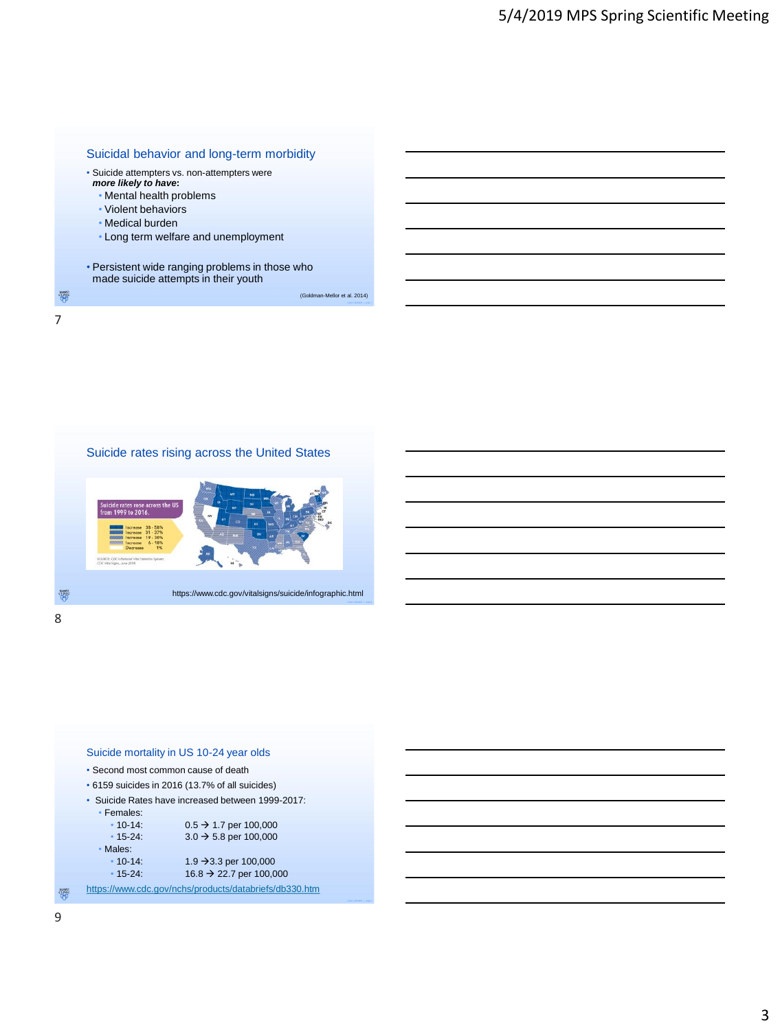

Suicide rates rising across the United States

https://www.cdc.gov/vitalsigns/suicide/infographic.html

 $\frac{\partial \mathcal{U}_{\text{NNC}}^{\text{VLO}}}{\partial \mathcal{U}}$ 8

|                                                   | Suicide mortality in US 10-24 year olds         |  |  |  |  |  |
|---------------------------------------------------|-------------------------------------------------|--|--|--|--|--|
| • Second most common cause of death               |                                                 |  |  |  |  |  |
|                                                   | • 6159 suicides in 2016 (13.7% of all suicides) |  |  |  |  |  |
| · Suicide Rates have increased between 1999-2017: |                                                 |  |  |  |  |  |
| • Females:                                        |                                                 |  |  |  |  |  |
| $• 10 - 14:$                                      | $0.5 \rightarrow 1.7$ per 100,000               |  |  |  |  |  |
| $\cdot$ 15-24:                                    | $3.0 \rightarrow 5.8$ per 100,000               |  |  |  |  |  |
| • Males:                                          |                                                 |  |  |  |  |  |
| $\cdot$ 10-14:                                    | 1.9 $\rightarrow$ 3.3 per 100,000               |  |  |  |  |  |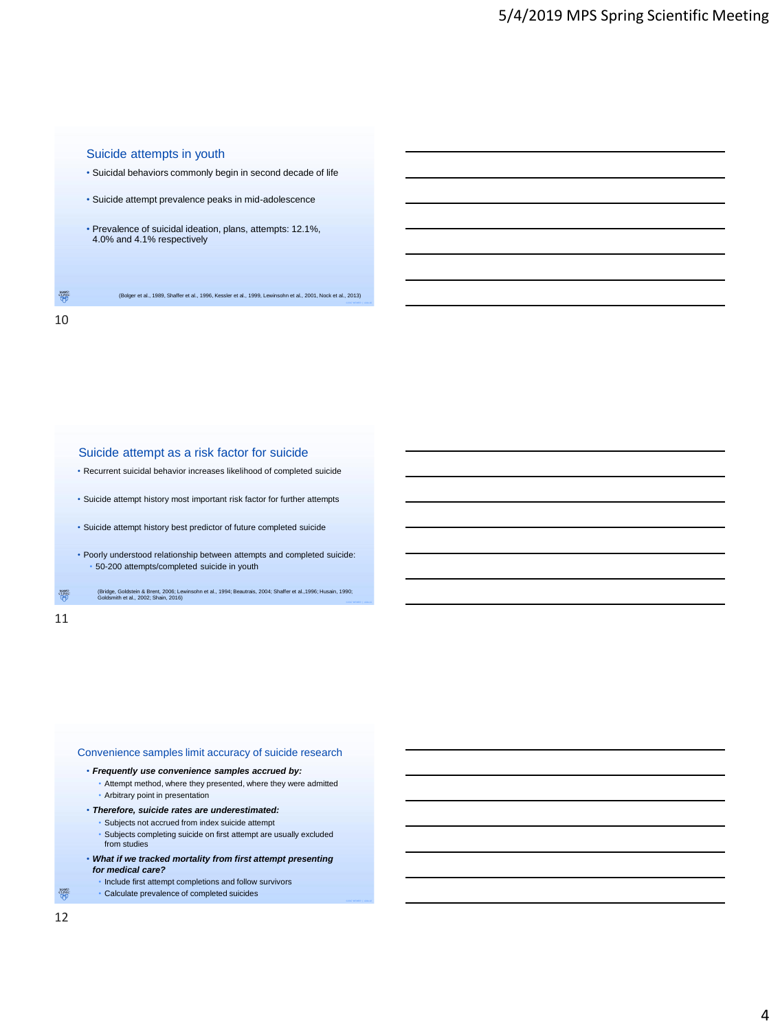#### Suicide attempts in youth

- Suicidal behaviors commonly begin in second decade of life
- Suicide attempt prevalence peaks in mid-adolescence
- Prevalence of suicidal ideation, plans, attempts: 12.1%, 4.0% and 4.1% respectively

 $\frac{\text{MNC}}{\text{QVD}}$ (Bolger et al., 1989, Shaffer et al., 1996, Kessler et al., 1999, Lewinsohn et al., 2001, Nock et al., 2013)

#### 10

#### Suicide attempt as a risk factor for suicide

- Recurrent suicidal behavior increases likelihood of completed suicide
- Suicide attempt history most important risk factor for further attempts
- Suicide attempt history best predictor of future completed suicide
- Poorly understood relationship between attempts and completed suicide: • 50-200 attempts/completed suicide in youth
- 徽 (Bridge, Goldstein & Brent, 2006; Lewinsohn et al., 1994; Beautrais, 2004; Shaffer et al.,1996; Husain, 1990; Goldsmith et al., 2002; Shain, 2016)

#### 11

#### Convenience samples limit accuracy of suicide research

#### • *Frequently use convenience samples accrued by:*

- Attempt method, where they presented, where they were admitted • Arbitrary point in presentation
- *Therefore, suicide rates are underestimated:*
	- Subjects not accrued from index suicide attempt
	- Subjects completing suicide on first attempt are usually excluded from studies
- *What if we tracked mortality from first attempt presenting for medical care?*
- Include first attempt completions and follow survivors
	- Calculate prevalence of completed suicides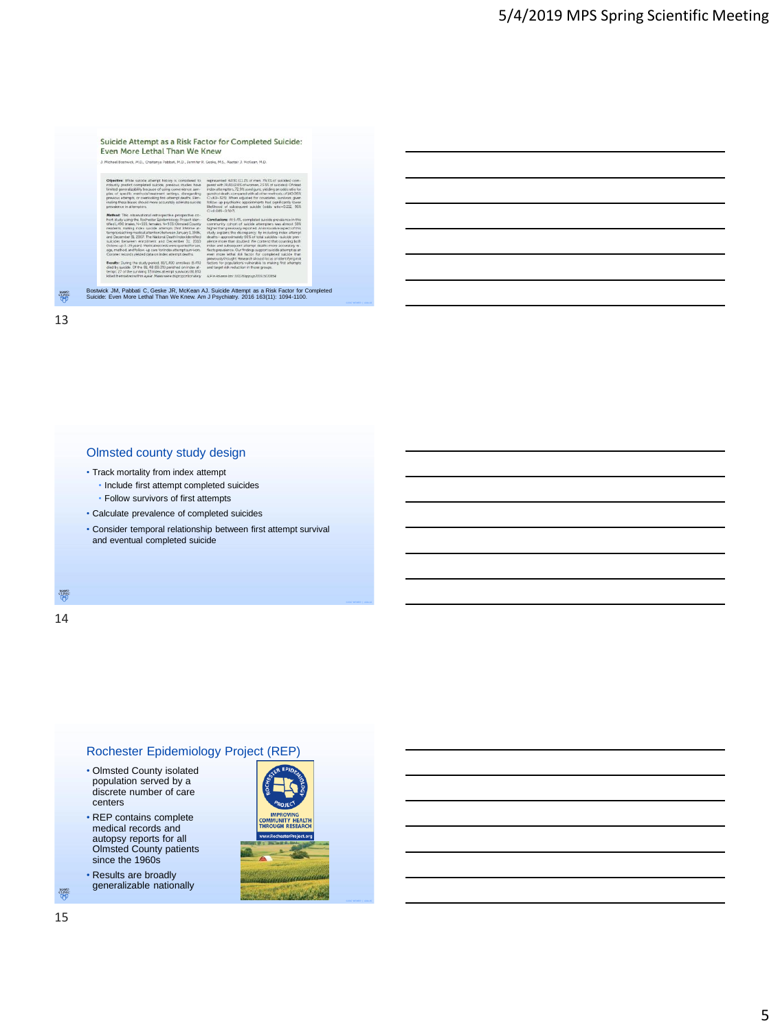| J. Michael Bostwick, M.D., Chaltanya Pabbati, M.D., Jennifer R. Geske, M.S., Alastair J. McKean, M.D.                                                                                                                                                                                                                                                                                                                                                                                                                                                                                                                                                                                                                                                                                                                               |                                                                                                                                                                                                                                                                                                                                                                                                                                                                                                                                                                                                                                                                                                                                                  |
|-------------------------------------------------------------------------------------------------------------------------------------------------------------------------------------------------------------------------------------------------------------------------------------------------------------------------------------------------------------------------------------------------------------------------------------------------------------------------------------------------------------------------------------------------------------------------------------------------------------------------------------------------------------------------------------------------------------------------------------------------------------------------------------------------------------------------------------|--------------------------------------------------------------------------------------------------------------------------------------------------------------------------------------------------------------------------------------------------------------------------------------------------------------------------------------------------------------------------------------------------------------------------------------------------------------------------------------------------------------------------------------------------------------------------------------------------------------------------------------------------------------------------------------------------------------------------------------------------|
| Objective: While suicide attempt history is considered to<br>robustly predict completed suicide, previous studies have<br>limited generalizability because of using convenience sam-<br>plas of specific methods/treatment settings, disregarding<br>previous attempts, or overlooking first-attempt deaths. Elim-<br>inating these biases should more accurately estimate suicide<br>prevalence in attempters.                                                                                                                                                                                                                                                                                                                                                                                                                     | represented: 62/81 (11.2% of men, 76.5% of suicides) com-<br>pared with 19/81 (2.0% of women, 23.5% of suicides). Of dead<br>index attempters, 72.9% used guns, sielding an odds ratio for<br>quinthot death, compared with all other methods, of \$40 (95%)<br>C=60-325). When adjusted for covariates, survivors given<br>follow-up psychiatric appointments had significantly lower<br>likelihood of subsequent suicide (odds ratiow0.212, 95%)<br>$C = 0.099 - 0.507$                                                                                                                                                                                                                                                                        |
| Method: This observational retrospective-prospective co-<br>hart study using the Rochester Epidemiology Project iden-<br>tified 1,490 (males, N=555; females, N=935) Olmsted County<br>residents making index suicide attempts (first lifetime at-<br>tempts reaching medical attention) between January 1, 1986.<br>and December 31, 2007. The National Death Index identified<br>suicides between enrollment and December 31, 2010<br>(follow-up 3-25 years). Medical records were queried for sex.<br>age, method, and follow- up care for index attempt survivors.<br>Coroner records vielded data on index attempt deaths.<br>Results: During the study period. 81/1.490 enrollers (5.432)<br>died by suicide. Of the 81, 48 (59.3%) perished on index at -<br>tempt: 27 of the surviving 3.3 index attempt survivors (81.810) | Conclusions: At 5.4%, completed suicide prevalence in this.<br>community cohort of suicide attempters was almost 59%<br>higher than previously reported. An innovative aspect of this<br>study explains the discrepancy. by including index attempt<br>deaths-approximately 60% of total suicides-suicide prev-<br>alence more than doubled. We contend that counting both<br>index and subsequent attempt deaths more accurately re-<br>fiects prevalence. Our findings support suicide attempt as an<br>even more lethal risk factor for completed suicide than<br>previously thought. Research should focus on identifying risk<br>factors for populations vulnerable to making first attempts.<br>and target risk reduction in those groups. |
| killed themselves within ayear. Males were disproportionately                                                                                                                                                                                                                                                                                                                                                                                                                                                                                                                                                                                                                                                                                                                                                                       | AP in Advance like: 20.1276/applain.2016.150708541                                                                                                                                                                                                                                                                                                                                                                                                                                                                                                                                                                                                                                                                                               |

#### Olmsted county study design

- Track mortality from index attempt
	- Include first attempt completed suicides
	- Follow survivors of first attempts
- Calculate prevalence of completed suicides
- Consider temporal relationship between first attempt survival and eventual completed suicide

 $\frac{\partial \mathcal{U}_{\text{NNC}}^{\text{VLO}}}{\partial \mathcal{U}}$ 

14

## Rochester Epidemiology Project (REP)

- Olmsted County isolated population served by a discrete number of care centers
- REP contains complete medical records and autopsy reports for all Olmsted County patients since the 1960s
- Results are broadly generalizable nationally

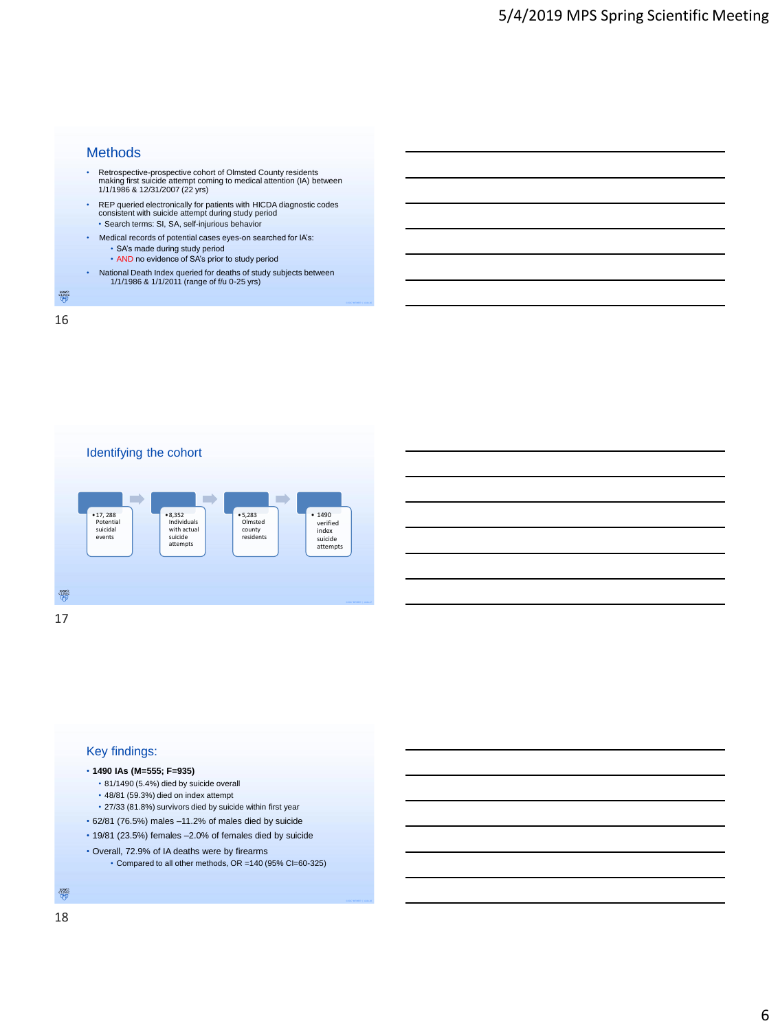|               | <b>Methods</b>                                                                                                                                                                |
|---------------|-------------------------------------------------------------------------------------------------------------------------------------------------------------------------------|
|               | Retrospective-prospective cohort of Olmsted County residents<br>making first suicide attempt coming to medical attention (IA) between<br>1/1/1986 & 12/31/2007 (22 yrs)       |
|               | REP queried electronically for patients with HICDA diagnostic codes<br>consistent with suicide attempt during study period<br>· Search terms: SI, SA, self-injurious behavior |
|               | Medical records of potential cases eyes-on searched for IA's:<br>• SA's made during study period<br>• AND no evidence of SA's prior to study period                           |
| ٠             | National Death Index queried for deaths of study subjects between<br>1/1/1986 & 1/1/2011 (range of f/u 0-25 yrs)                                                              |
| <b>CLINIC</b> |                                                                                                                                                                               |
|               |                                                                                                                                                                               |



#### Key findings:

#### • **1490 IAs (M=555; F=935)**

- 81/1490 (5.4%) died by suicide overall
- 48/81 (59.3%) died on index attempt
- 27/33 (81.8%) survivors died by suicide within first year
- 62/81 (76.5%) males –11.2% of males died by suicide
- 19/81 (23.5%) females –2.0% of females died by suicide
- Overall, 72.9% of IA deaths were by firearms
	- Compared to all other methods, OR =140 (95% CI=60-325)

### $\overset{MANO}{\overset{CLINIC}{\bigoplus}}$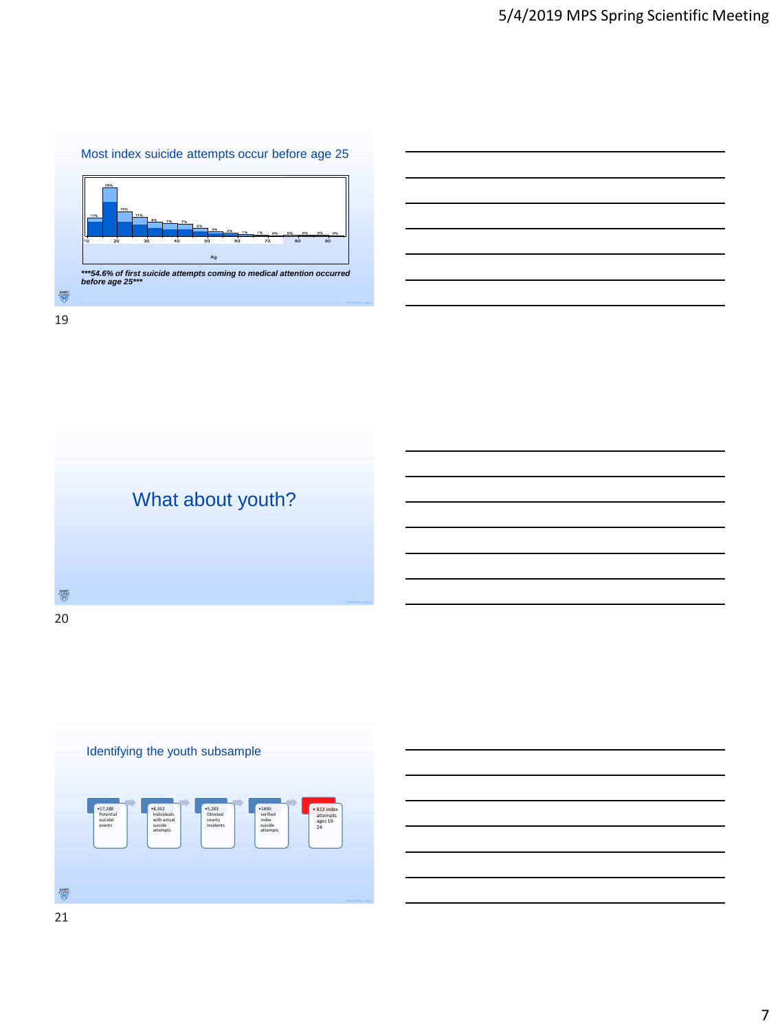





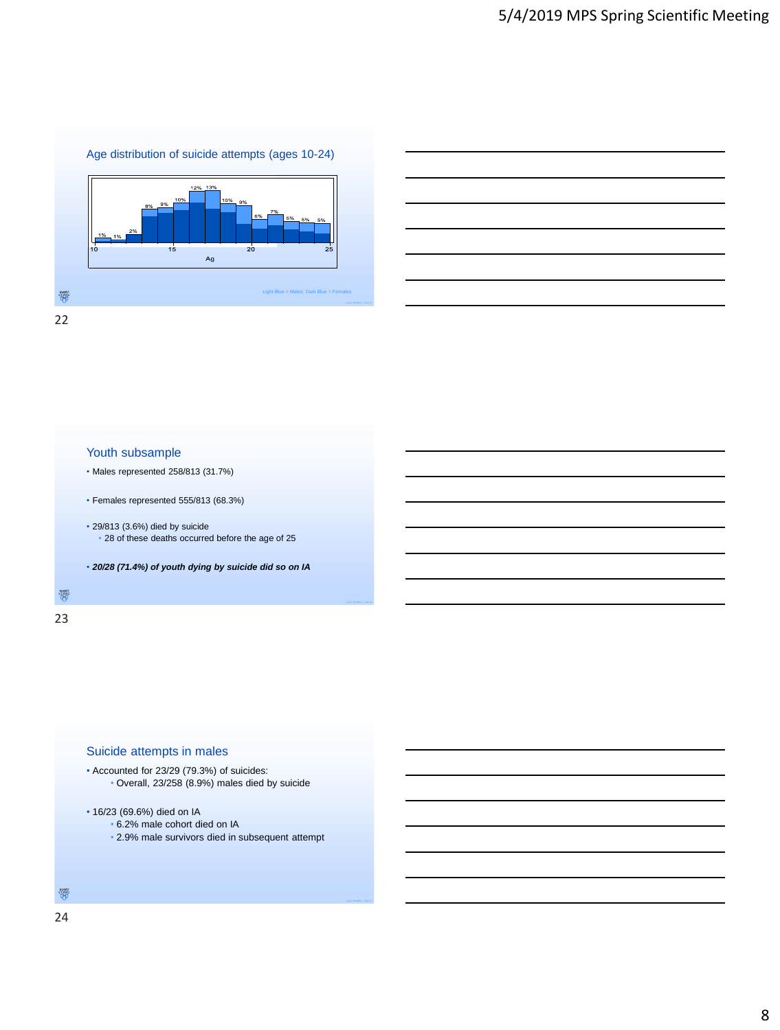





23



- Accounted for 23/29 (79.3%) of suicides: • Overall, 23/258 (8.9%) males died by suicide
- 16/23 (69.6%) died on IA
	- 6.2% male cohort died on IA
		- 2.9% male survivors died in subsequent attempt

 $\overset{\text{M}{\text{AVO}}}{\text{CUNIC}}$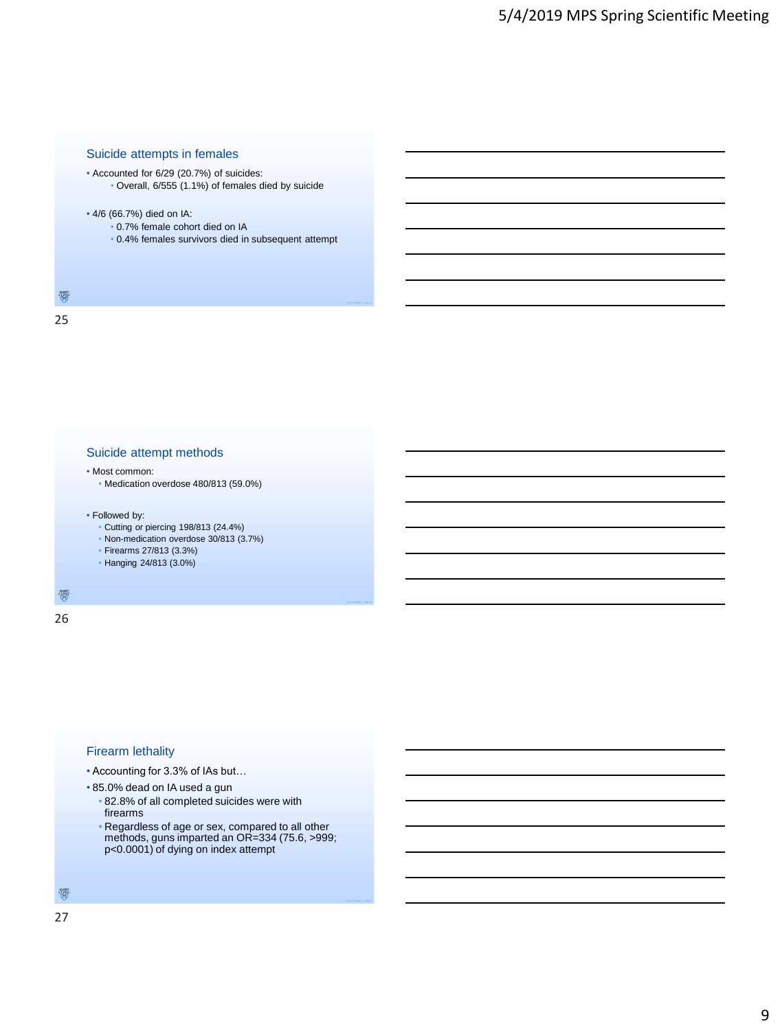#### Suicide attempts in females

• Accounted for 6/29 (20.7%) of suicides: • Overall, 6/555 (1.1%) of females died by suicide

#### • 4/6 (66.7%) died on IA:

- 0.7% female cohort died on IA
- 0.4% females survivors died in subsequent attempt

#### $\frac{\text{MNO}}{\text{QFD}}$

25

#### Suicide attempt methods

#### • Most common:

• Medication overdose 480/813 (59.0%)

#### • Followed by:

- Cutting or piercing 198/813 (24.4%)
- Non-medication overdose 30/813 (3.7%)
- Firearms 27/813 (3.3%)
- Hanging 24/813 (3.0%)

 $\frac{\partial \mathcal{U}_{\text{NRC}}^{\text{NSC}}}{\partial \mathcal{U}}$ 

26

#### Firearm lethality

- Accounting for 3.3% of IAs but…
- 85.0% dead on IA used a gun
	- 82.8% of all completed suicides were with firearms
	- Regardless of age or sex, compared to all other methods, guns imparted an OR=334 (75.6, >999; p<0.0001) of dying on index attempt

#### $\overset{MANO}{\underset{\hbox{(I,NK)}}{\text{CLNK}}}$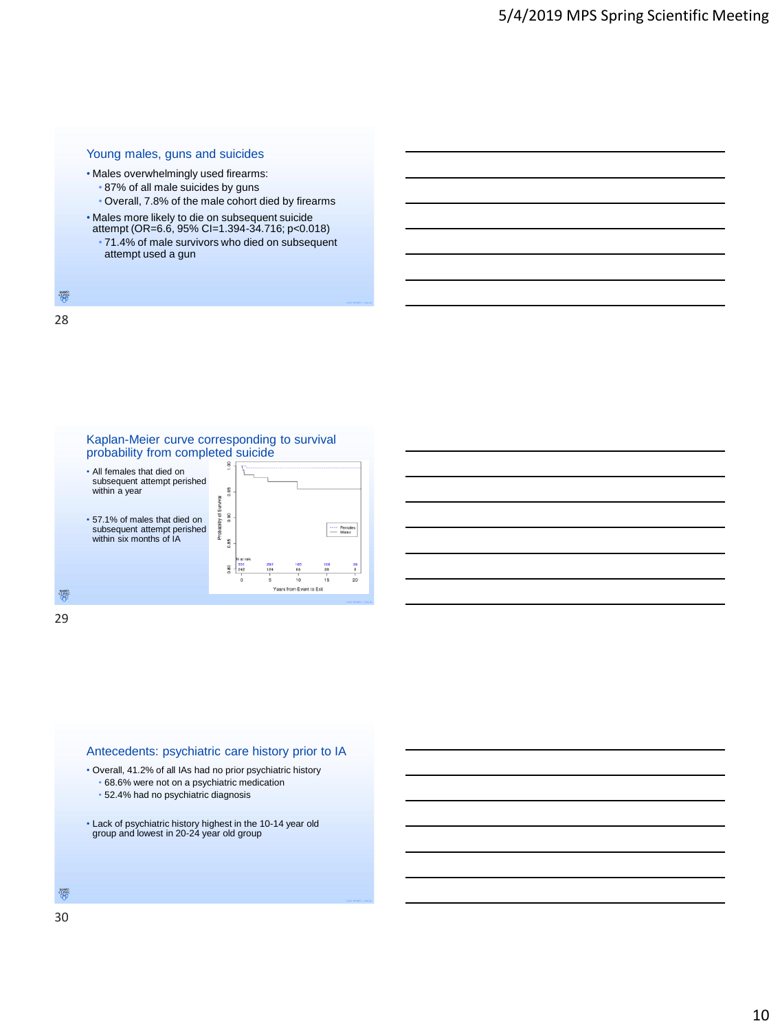#### Young males, guns and suicides

- Males overwhelmingly used firearms:
	- 87% of all male suicides by guns
	- Overall, 7.8% of the male cohort died by firearms
- Males more likely to die on subsequent suicide attempt (OR=6.6, 95% CI=1.394-34.716; p<0.018)
- 71.4% of male survivors who died on subsequent attempt used a gun

 $\frac{\text{MNO}}{\text{QFD}}$ 28

> Kaplan-Meier curve corresponding to survival probability from completed suicide • All females that died on subsequent attempt perished within a year  $0.95$ 0.90 • 57.1% of males that died on ---- Females<br>--- Males subsequent attempt perished within six months of IA 0.85 0.80  $\frac{36}{9}$ ic Years from Event to Exi **微波**<br>伊罗

29

#### Antecedents: psychiatric care history prior to IA

• Overall, 41.2% of all IAs had no prior psychiatric history • 68.6% were not on a psychiatric medication

- 52.4% had no psychiatric diagnosis
- Lack of psychiatric history highest in the 10-14 year old group and lowest in 20-24 year old group

MANO<br>CLINIC<br>QHJ

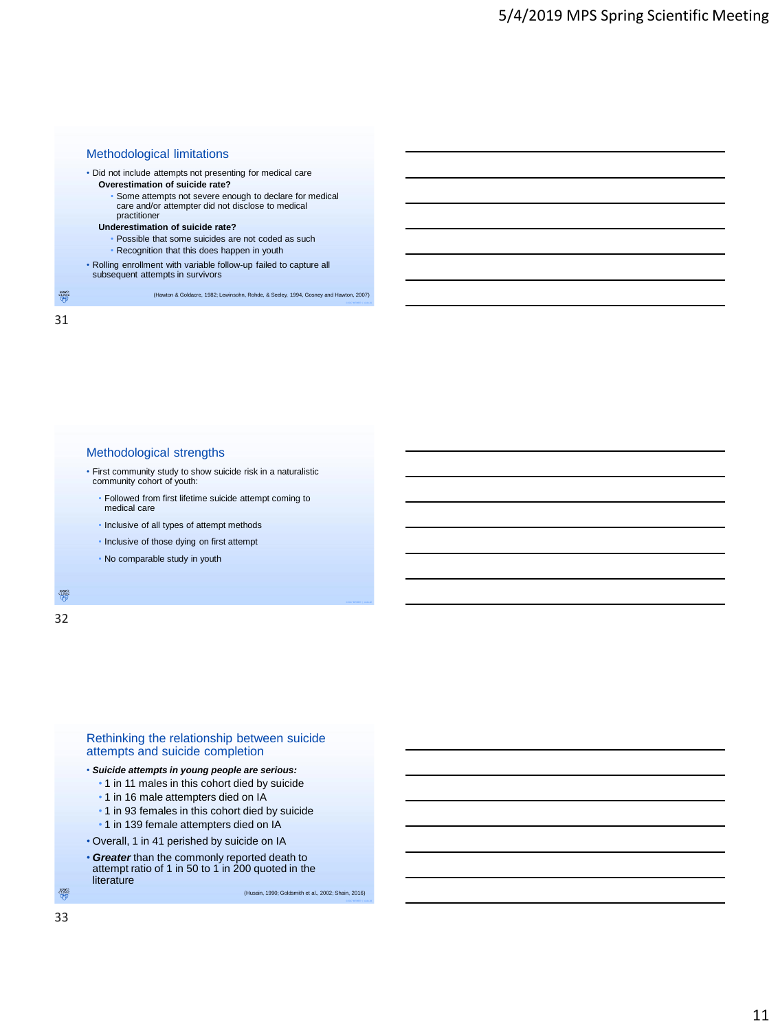

#### Methodological strengths

• First community study to show suicide risk in a naturalistic community cohort of youth:

- Followed from first lifetime suicide attempt coming to medical care
- Inclusive of all types of attempt methods
- Inclusive of those dying on first attempt
- No comparable study in youth

徽

32



#### • *Suicide attempts in young people are serious:*

- 1 in 11 males in this cohort died by suicide
- 1 in 16 male attempters died on IA
- 1 in 93 females in this cohort died by suicide
- 1 in 139 female attempters died on IA
- Overall, 1 in 41 perished by suicide on IA • *Greater* than the commonly reported death to attempt ratio of 1 in 50 to 1 in 200 quoted in the literature

(Husain, 1990; Goldsmith et al., 2002; Shain, 2016)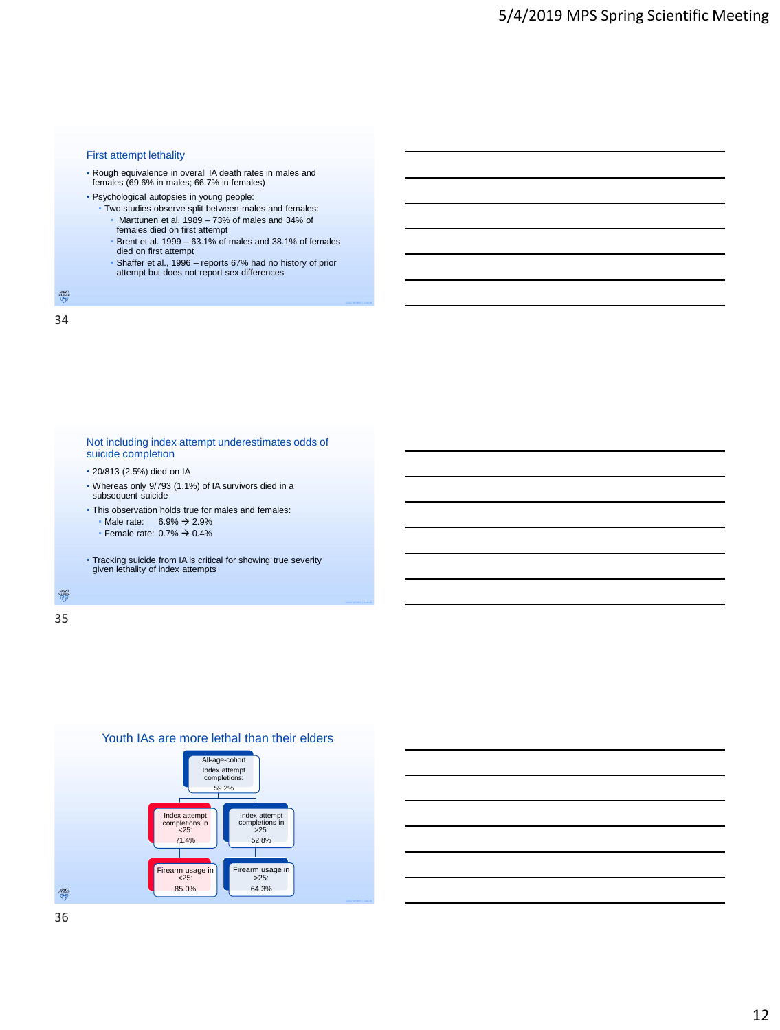#### First attempt lethality

- Rough equivalence in overall IA death rates in males and females (69.6% in males; 66.7% in females)
- Psychological autopsies in young people:
	- Two studies observe split between males and females: • Marttunen et al. 1989 – 73% of males and 34% of
		- females died on first attempt
		- Brent et al. 1999 63.1% of males and 38.1% of females died on first attempt
		- Shaffer et al., 1996 reports 67% had no history of prior attempt but does not report sex differences

 $\frac{\text{MNO}}{\text{QFD}}$ 34



35



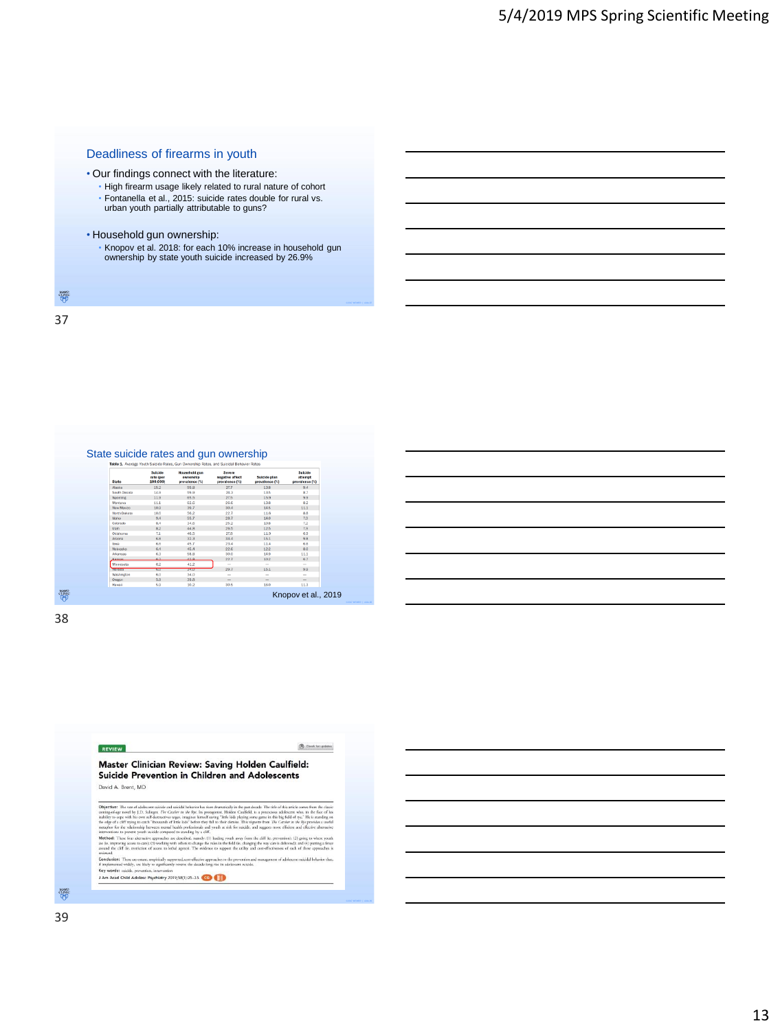#### Deadliness of firearms in youth

• Our findings connect with the literature:

- High firearm usage likely related to rural nature of cohort • Fontanella et al., 2015: suicide rates double for rural vs. urban youth partially attributable to guns?
- Household gun ownership:
	- Knopov et al. 2018: for each 10% increase in household gun ownership by state youth suicide increased by 26.9%
- $\overset{\text{MANG}}{\underset{\text{Q}}{\text{MNG}}}$

37

| Table 1. Average Youth Suicide Rates, Gun Ownership Rates, and Suicidal Behavior Rates |                                 |                                                     |                                             |                                |                                      |  |  |  |
|----------------------------------------------------------------------------------------|---------------------------------|-----------------------------------------------------|---------------------------------------------|--------------------------------|--------------------------------------|--|--|--|
| State                                                                                  | Suicide<br>rate (per<br>100,000 | <b>Household gun</b><br>ownership<br>prevalence (%) | Severe<br>negative affect<br>prevalence (%) | Suicide plan<br>prevalence (%) | Suicide<br>attempt<br>prevalence (%) |  |  |  |
| <b>Blacks</b>                                                                          | 15.2                            | 59.8                                                | 27.7                                        | 13.8                           | 9.4                                  |  |  |  |
| South Dakota                                                                           | 14.9                            | F/9 %                                               | 24.3                                        | 135                            | 87                                   |  |  |  |
| Wyoming                                                                                | 110                             | 65.5                                                | 27.5                                        | 15.9                           | Q, Q                                 |  |  |  |
| Montana                                                                                | 11.1                            | 62.6                                                | 26.6                                        | 13.8                           | 8.2                                  |  |  |  |
| New Mexico                                                                             | 10.9                            | 39.7                                                | 30.4                                        | 14.5                           | 11.1                                 |  |  |  |
| North Dakota                                                                           | 10.6                            | 56.2                                                | 22.7                                        | 11.6                           | 8.8                                  |  |  |  |
| Idaho                                                                                  | 9.4                             | 55.7                                                | 28.7                                        | 14.0                           | 7.9                                  |  |  |  |
| Colorado                                                                               | 84                              | 34.6                                                | 25.2                                        | 10.8                           | 7.2                                  |  |  |  |
| Utah                                                                                   | 82                              | 44.8                                                | 26.5                                        | 12.5                           | 7,9                                  |  |  |  |
| Clicksboron                                                                            | 7.1                             | 46.5                                                | 27.8                                        | 11.9                           | 6.9                                  |  |  |  |
| Arizona                                                                                | 68                              | 32.3                                                | 344                                         | 151                            | 9.8                                  |  |  |  |
| Inwa                                                                                   | 6.6                             | 45.7                                                | 23.4                                        | 11.4                           | 6.6                                  |  |  |  |
| Nebrasia                                                                               | 6.4                             | 45.4                                                | 22.6                                        | 12.2                           | 8.0                                  |  |  |  |
| Arkansas                                                                               | 63                              | 58.8                                                | 30.0                                        | 14.9                           | 11.1                                 |  |  |  |
| Kansas                                                                                 | 62.                             | A2B                                                 | 22.7                                        | 10.2                           | 6.7                                  |  |  |  |
| Minnesota                                                                              | 6.2                             | 41.2                                                | <b>Service</b>                              | $\sim$                         | $\sim$                               |  |  |  |
| <b>MANDRE</b>                                                                          | <b>COURT</b>                    | 39.0                                                | 29.7                                        | 15.1                           | 9.9                                  |  |  |  |
| Washington                                                                             | 60                              | 34.0                                                | $\sim$                                      | $\sim$                         | $\sim$                               |  |  |  |
| Oregon                                                                                 | 5.9                             | 39.8                                                | $\overline{\phantom{a}}$                    | $\overline{\phantom{a}}$       | $\overline{\phantom{a}}$             |  |  |  |
| Hawaii                                                                                 | 5.9                             | 10.2                                                | 30.5                                        | 16.0                           | 11.3                                 |  |  |  |

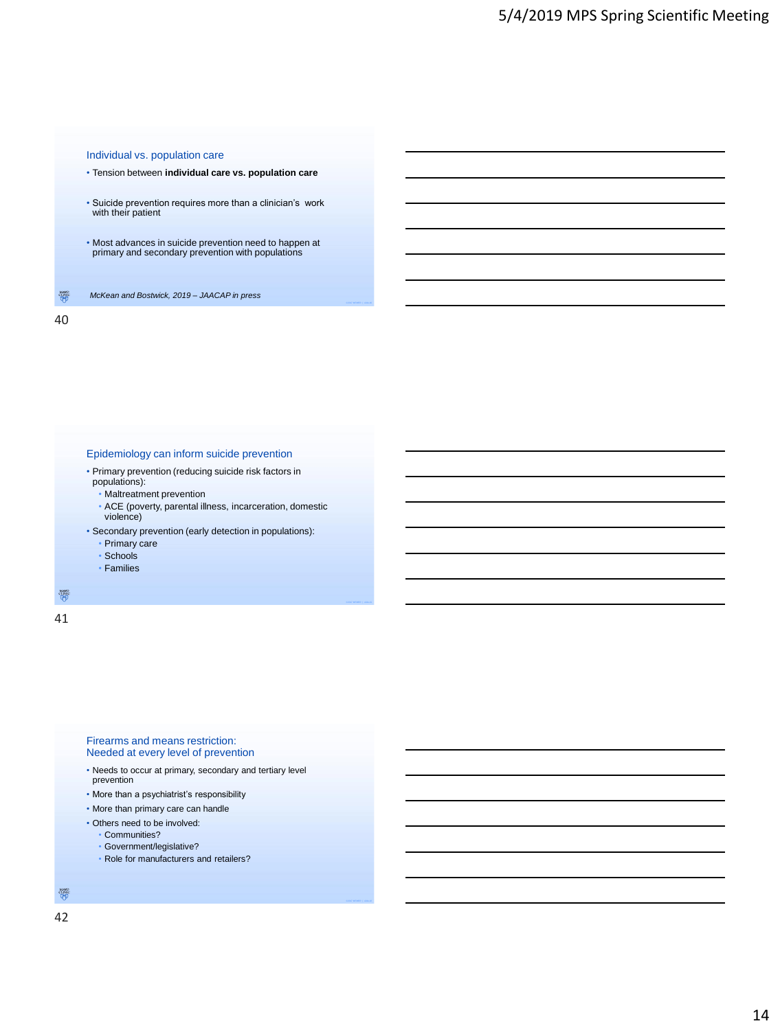#### Individual vs. population care

- Tension between **individual care vs. population care**
- Suicide prevention requires more than a clinician's work with their patient
- Most advances in suicide prevention need to happen at primary and secondary prevention with populations

 $\frac{\text{MNO}}{\text{QFD}}$ *McKean and Bostwick, 2019 – JAACAP in press*

40

#### Epidemiology can inform suicide prevention

- Primary prevention (reducing suicide risk factors in populations):
	- Maltreatment prevention
	- ACE (poverty, parental illness, incarceration, domestic violence)
- Secondary prevention (early detection in populations):
	- Primary care
	- Schools
	- Families
- $\frac{\partial \mathcal{U}_{\text{NNC}}^{\text{VLO}}}{\partial \mathcal{U}}$

41

#### Firearms and means restriction: Needed at every level of prevention

- Needs to occur at primary, secondary and tertiary level prevention
- More than a psychiatrist's responsibility
- More than primary care can handle
- Others need to be involved:
	- Communities?
	- Government/legislative?
	- Role for manufacturers and retailers?

 $\overset{MANO}{\underset{\hbox{(I,NK)}}{\text{CLNK}}}$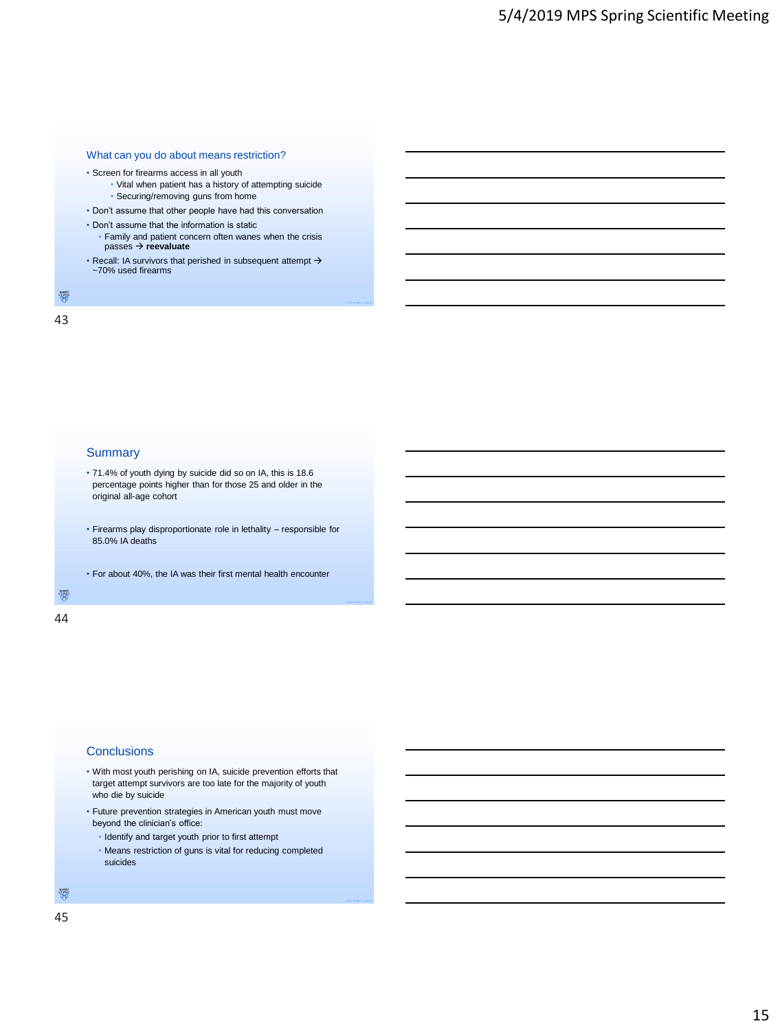

- Screen for firearms access in all youth
	- Vital when patient has a history of attempting suicide • Securing/removing guns from home
- Don't assume that other people have had this conversation
- Don't assume that the information is static
	- Family and patient concern often wanes when the crisis passes → **reevaluate**
- Recall: IA survivors that perished in subsequent attempt → ~70% used firearms

 $\frac{\text{MNO}}{\text{QFD}}$ 

43

#### **Summary**

- 71.4% of youth dying by suicide did so on IA, this is 18.6 percentage points higher than for those 25 and older in the original all-age cohort
- Firearms play disproportionate role in lethality responsible for 85.0% IA deaths
- For about 40%, the IA was their first mental health encounter

 $\frac{\partial \mathcal{U}_{\text{NFC}}^{\text{VLO}}}{\partial \Phi}$ 

## 44

#### **Conclusions**

- With most youth perishing on IA, suicide prevention efforts that target attempt survivors are too late for the majority of youth who die by suicide
- Future prevention strategies in American youth must move beyond the clinician's office:
	- Identify and target youth prior to first attempt
	- Means restriction of guns is vital for reducing completed suicides

MANO<br>CLINIC<br>QHJ